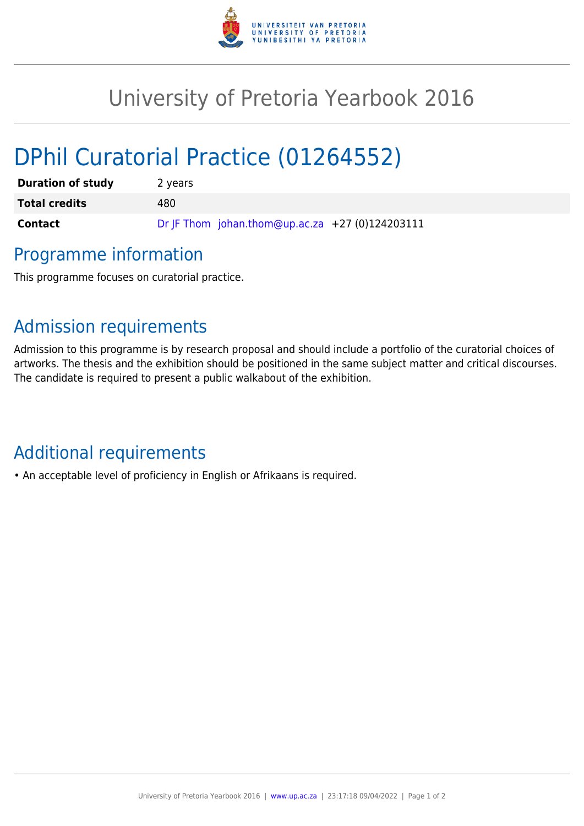

## University of Pretoria Yearbook 2016

# DPhil Curatorial Practice (01264552)

| <b>Duration of study</b> | 2 years                                         |
|--------------------------|-------------------------------------------------|
| <b>Total credits</b>     | 480.                                            |
| <b>Contact</b>           | Dr JF Thom johan.thom@up.ac.za +27 (0)124203111 |

## Programme information

This programme focuses on curatorial practice.

## Admission requirements

Admission to this programme is by research proposal and should include a portfolio of the curatorial choices of artworks. The thesis and the exhibition should be positioned in the same subject matter and critical discourses. The candidate is required to present a public walkabout of the exhibition.

## Additional requirements

• An acceptable level of proficiency in English or Afrikaans is required.